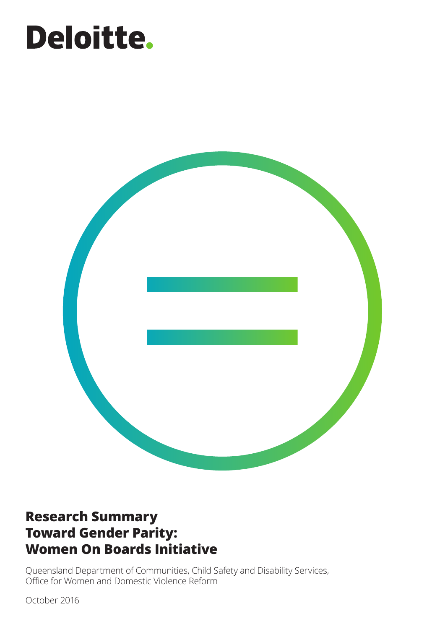# **Deloitte.**



### **Research Summary Toward Gender Parity: Women On Boards Initiative**

Queensland Department of Communities, Child Safety and Disability Services, Office for Women and Domestic Violence Reform

October 2016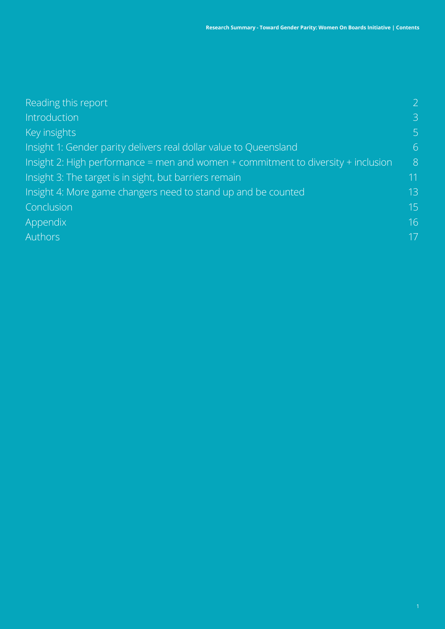| Reading this report                                                               | $\overline{2}$ |
|-----------------------------------------------------------------------------------|----------------|
| Introduction                                                                      | $\mathcal{B}$  |
| Key insights                                                                      | $\overline{5}$ |
| Insight 1: Gender parity delivers real dollar value to Queensland                 | 6              |
| Insight 2: High performance = men and women + commitment to diversity + inclusion | 8              |
| Insight 3: The target is in sight, but barriers remain                            | 11             |
| Insight 4: More game changers need to stand up and be counted                     | 13             |
| Conclusion                                                                        | 15             |
| Appendix                                                                          | 16             |
| Authors                                                                           | 17             |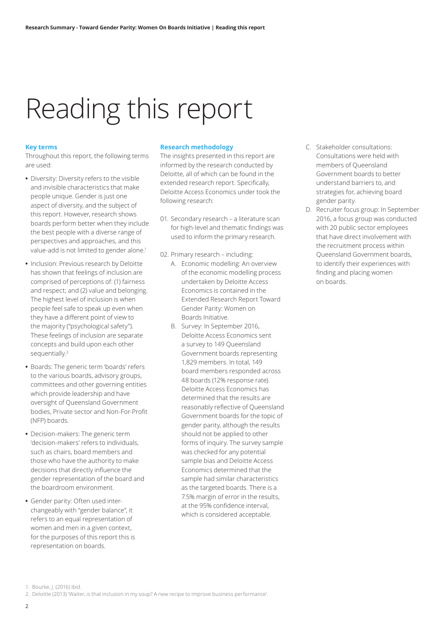## Reading this report

#### **Key terms**

Throughout this report, the following terms are used:

- **•** Diversity: Diversity refers to the visible and invisible characteristics that make people unique. Gender is just one aspect of diversity, and the subject of this report. However, research shows boards perform better when they include the best people with a diverse range of perspectives and approaches, and this value-add is not limited to gender alone.<sup>1</sup>
- **•** Inclusion: Previous research by Deloitte has shown that feelings of inclusion are comprised of perceptions of: (1) fairness and respect; and (2) value and belonging. The highest level of inclusion is when people feel safe to speak up even when they have a different point of view to the majority ("psychological safety"). These feelings of inclusion are separate concepts and build upon each other sequentially.<sup>2</sup>
- **•** Boards: The generic term 'boards' refers to the various boards, advisory groups, committees and other governing entities which provide leadership and have oversight of Queensland Government bodies, Private sector and Non-For-Profit (NFP) boards.
- **•** Decision-makers: The generic term 'decision-makers' refers to individuals, such as chairs, board members and those who have the authority to make decisions that directly influence the gender representation of the board and the boardroom environment.
- **•** Gender parity: Often used interchangeably with "gender balance", it refers to an equal representation of women and men in a given context, for the purposes of this report this is representation on boards.

#### **Research methodology**

The insights presented in this report are informed by the research conducted by Deloitte, all of which can be found in the extended research report. Specifically, Deloitte Access Economics under took the following research:

- 01. Secondary research a literature scan for high-level and thematic findings was used to inform the primary research.
- 02. Primary research including:
	- A. Economic modelling: An overview of the economic modelling process undertaken by Deloitte Access Economics is contained in the Extended Research Report Toward Gender Parity: Women on Boards Initiative.
	- B. Survey: In September 2016, Deloitte Access Economics sent a survey to 149 Queensland Government boards representing 1,829 members. In total, 149 board members responded across 48 boards (12% response rate). Deloitte Access Economics has determined that the results are reasonably reflective of Queensland Government boards for the topic of gender parity, although the results should not be applied to other forms of inquiry. The survey sample was checked for any potential sample bias and Deloitte Access Economics determined that the sample had similar characteristics as the targeted boards. There is a 7.5% margin of error in the results, at the 95% confidence interval, which is considered acceptable.
- C. Stakeholder consultations: Consultations were held with members of Queensland Government boards to better understand barriers to, and strategies for, achieving board gender parity.
- D. Recruiter focus group: In September 2016, a focus group was conducted with 20 public sector employees that have direct involvement with the recruitment process within Queensland Government boards, to identify their experiences with finding and placing women on boards.

<sup>1.</sup> Bourke, J. (2016) ibid.

<sup>2.</sup> Deloitte (2013) 'Waiter, is that inclusion in my soup? A new recipe to improve business performance'.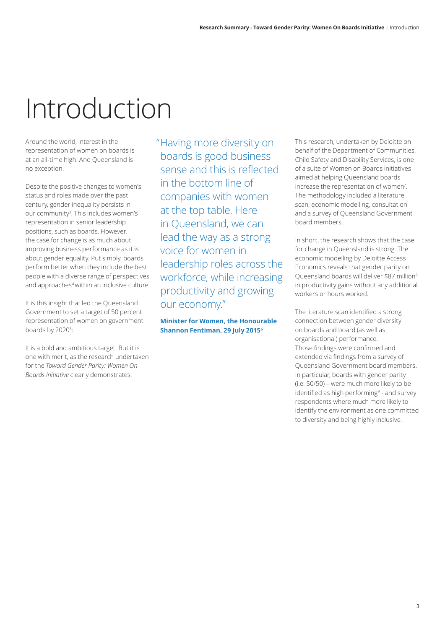### Introduction

Around the world, interest in the representation of women on boards is at an all-time high. And Queensland is no exception.

Despite the positive changes to women's status and roles made over the past century, gender inequality persists in our community3. This includes women's representation in senior leadership positions, such as boards. However, the case for change is as much about improving business performance as it is about gender equality. Put simply, boards perform better when they include the best people with a diverse range of perspectives and approaches<sup>4</sup> within an inclusive culture.

It is this insight that led the Queensland Government to set a target of 50 percent representation of women on government boards by 2020<sup>5</sup>:

It is a bold and ambitious target. But it is one with merit, as the research undertaken for the *Toward Gender Parity: Women On Boards Initiative* clearly demonstrates.

Having more diversity on "boards is good business sense and this is reflected in the bottom line of companies with women at the top table. Here in Queensland, we can lead the way as a strong voice for women in leadership roles across the workforce, while increasing productivity and growing our economy."

**Minister for Women, the Honourable Shannon Fentiman, 29 July 20156**

This research, undertaken by Deloitte on behalf of the Department of Communities, Child Safety and Disability Services, is one of a suite of Women on Boards initiatives aimed at helping Queensland boards increase the representation of women<sup>7</sup>. The methodology included a literature scan, economic modelling, consultation and a survey of Queensland Government board members.

In short, the research shows that the case for change in Queensland is strong. The economic modelling by Deloitte Access Economics reveals that gender parity on Queensland boards will deliver \$87 million8 in productivity gains without any additional workers or hours worked.

The literature scan identified a strong connection between gender diversity on boards and board (as well as organisational) performance. Those findings were confirmed and extended via findings from a survey of Queensland Government board members. In particular, boards with gender parity (i.e. 50/50) – were much more likely to be identified as high performing<sup>9</sup> - and survey respondents where much more likely to identify the environment as one committed to diversity and being highly inclusive.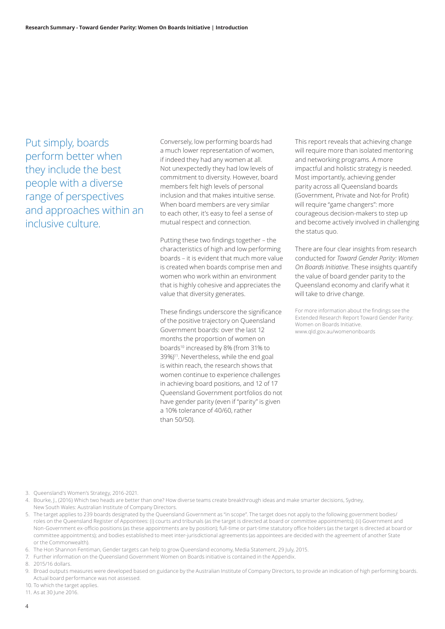Put simply, boards perform better when they include the best people with a diverse range of perspectives and approaches within an inclusive culture.

Conversely, low performing boards had a much lower representation of women, if indeed they had any women at all. Not unexpectedly they had low levels of commitment to diversity. However, board members felt high levels of personal inclusion and that makes intuitive sense. When board members are very similar to each other, it's easy to feel a sense of mutual respect and connection.

Putting these two findings together – the characteristics of high and low performing boards – it is evident that much more value is created when boards comprise men and women who work within an environment that is highly cohesive and appreciates the value that diversity generates.

These findings underscore the significance of the positive trajectory on Queensland Government boards: over the last 12 months the proportion of women on boards<sup>10</sup> increased by 8% (from 31% to 39%)<sup>11</sup>. Nevertheless, while the end goal is within reach, the research shows that women continue to experience challenges in achieving board positions, and 12 of 17 Queensland Government portfolios do not have gender parity (even if "parity" is given a 10% tolerance of 40/60, rather than 50/50).

This report reveals that achieving change will require more than isolated mentoring and networking programs. A more impactful and holistic strategy is needed. Most importantly, achieving gender parity across all Queensland boards (Government, Private and Not-for Profit) will require "game changers": more courageous decision-makers to step up and become actively involved in challenging the status quo.

There are four clear insights from research conducted for *Toward Gender Parity: Women On Boards Initiative*. These insights quantify the value of board gender parity to the Queensland economy and clarify what it will take to drive change.

For more information about the findings see the Extended Research Report Toward Gender Parity: Women on Boards Initiative. www.qld.gov.au/womenonboards

- 3. Queensland's Women's Strategy, 2016-2021.
- 4. Bourke, J., (2016) Which two heads are better than one? How diverse teams create breakthrough ideas and make smarter decisions, Sydney, New South Wales: Australian Institute of Company Directors.
- 5. The target applies to 239 boards designated by the Queensland Government as "in scope". The target does not apply to the following government bodies/ roles on the Queensland Register of Appointees: (i) courts and tribunals (as the target is directed at board or committee appointments); (ii) Government and Non-Government ex-officio positions (as these appointments are by position); full-time or part-time statutory office holders (as the target is directed at board or committee appointments); and bodies established to meet inter-jurisdictional agreements (as appointees are decided with the agreement of another State or the Commonwealth).
- 6. The Hon Shannon Fentiman, Gender targets can help to grow Queensland economy, Media Statement, 29 July, 2015.
- 7. Further information on the Queensland Government Women on Boards initiative is contained in the Appendix.
- 8. 2015/16 dollars.
- 9. Broad outputs measures were developed based on guidance by the Australian Institute of Company Directors, to provide an indication of high performing boards. Actual board performance was not assessed.
- 10. To which the target applies.
- 11. As at 30 June 2016.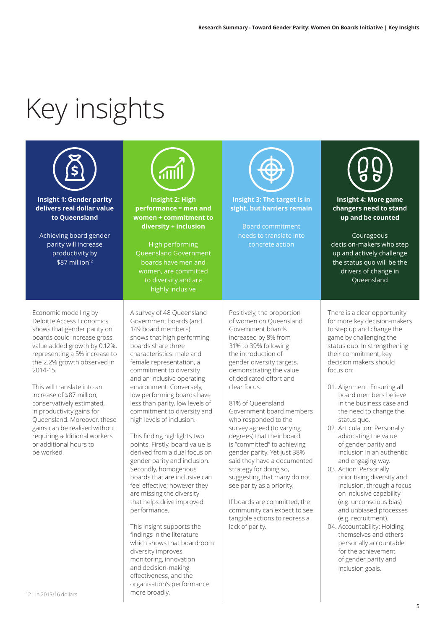## Key insights



**Insight 1: Gender parity delivers real dollar value to Queensland**

Achieving board gender parity will increase productivity by \$87 million<sup>12</sup>

Economic modelling by Deloitte Access Economics shows that gender parity on boards could increase gross value added growth by 0.12%, representing a 5% increase to the 2.2% growth observed in 2014-15.

This will translate into an increase of \$87 million, conservatively estimated, in productivity gains for Queensland. Moreover, these gains can be realised without requiring additional workers or additional hours to be worked.

**Insight 2: High performance = men and women + commitment to diversity + inclusion**

High performing Queensland Government boards have men and highly inclusive

A survey of 48 Queensland Government boards (and 149 board members) shows that high performing boards share three characteristics: male and female representation, a commitment to diversity and an inclusive operating environment. Conversely, low performing boards have less than parity, low levels of commitment to diversity and high levels of inclusion.

This finding highlights two points. Firstly, board value is derived from a dual focus on gender parity and inclusion. Secondly, homogenous boards that are inclusive can feel effective; however they are missing the diversity that helps drive improved performance.

This insight supports the findings in the literature which shows that boardroom diversity improves monitoring, innovation and decision-making effectiveness, and the organisation's performance more broadly.



**Insight 3: The target is in sight, but barriers remain**

Board commitment needs to translate into concrete action

Positively, the proportion of women on Queensland Government boards increased by 8% from 31% to 39% following the introduction of gender diversity targets, demonstrating the value of dedicated effort and clear focus.

81% of Queensland Government board members who responded to the survey agreed (to varying degrees) that their board is "committed" to achieving gender parity. Yet just 38% said they have a documented strategy for doing so, suggesting that many do not see parity as a priority.

If boards are committed, the community can expect to see tangible actions to redress a lack of parity.



**Insight 4: More game changers need to stand up and be counted**

Courageous decision-makers who step up and actively challenge the status quo will be the drivers of change in Queensland

There is a clear opportunity for more key decision-makers to step up and change the game by challenging the status quo. In strengthening their commitment, key decision makers should focus on:

- 01. Alignment: Ensuring all board members believe in the business case and the need to change the status quo.
- 02. Articulation: Personally advocating the value of gender parity and inclusion in an authentic and engaging way.
- 03. Action: Personally prioritising diversity and inclusion, through a focus on inclusive capability (e.g. unconscious bias) and unbiased processes (e.g. recruitment).
- 04. Accountability: Holding themselves and others personally accountable for the achievement of gender parity and inclusion goals.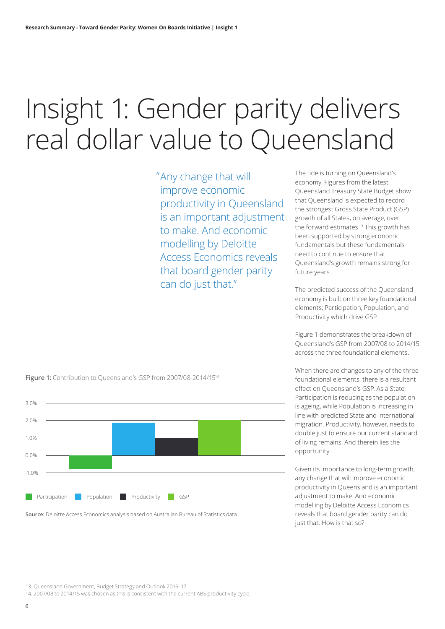### Insight 1: Gender parity delivers real dollar value to Queensland

"Any change that will improve economic productivity in Queensland is an important adjustment to make. And economic modelling by Deloitte Access Economics reveals that board gender parity can do just that."

The tide is turning on Queensland's economy. Figures from the latest Queensland Treasury State Budget show that Queensland is expected to record the strongest Gross State Product (GSP) growth of all States, on average, over the forward estimates.<sup>13</sup> This growth has been supported by strong economic fundamentals but these fundamentals need to continue to ensure that Queensland's growth remains strong for future years.

The predicted success of the Queensland economy is built on three key foundational elements; Participation, Population, and Productivity which drive GSP.

Figure 1 demonstrates the breakdown of Queensland's GSP from 2007/08 to 2014/15 across the three foundational elements.

When there are changes to any of the three foundational elements, there is a resultant effect on Queensland's GSP. As a State, Participation is reducing as the population is ageing, while Population is increasing in line with predicted State and international migration. Productivity, however, needs to double just to ensure our current standard of living remains. And therein lies the opportunity.

Given its importance to long-term growth, any change that will improve economic productivity in Queensland is an important adjustment to make. And economic modelling by Deloitte Access Economics reveals that board gender parity can do just that. How is that so?





**Source:** Deloitte Access Economics analysis based on Australian Bureau of Statistics data

13. Queensland Government, Budget Strategy and Outlook 2016–17

14. 2007/08 to 2014/15 was chosen as this is consistent with the current ABS productivity cycle.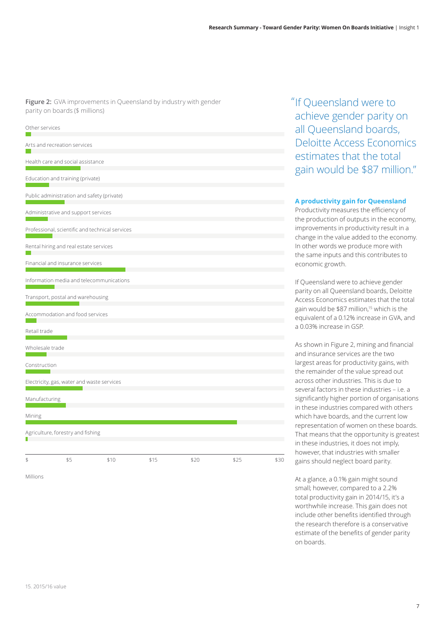**Figure 2:** GVA improvements in Queensland by industry with gender parity on boards (\$ millions)

| Other services                                  |      |      |      |      |      |
|-------------------------------------------------|------|------|------|------|------|
| Arts and recreation services                    |      |      |      |      |      |
| Health care and social assistance               |      |      |      |      |      |
| Education and training (private)                |      |      |      |      |      |
| Public administration and safety (private)      |      |      |      |      |      |
| Administrative and support services             |      |      |      |      |      |
| Professional, scientific and technical services |      |      |      |      |      |
| Rental hiring and real estate services          |      |      |      |      |      |
| Financial and insurance services                |      |      |      |      |      |
| Information media and telecommunications        |      |      |      |      |      |
| Transport, postal and warehousing               |      |      |      |      |      |
| Accommodation and food services                 |      |      |      |      |      |
| Retail trade                                    |      |      |      |      |      |
| Wholesale trade                                 |      |      |      |      |      |
| Construction                                    |      |      |      |      |      |
| Electricity, gas, water and waste services      |      |      |      |      |      |
| Manufacturing                                   |      |      |      |      |      |
| Mining                                          |      |      |      |      |      |
| Agriculture, forestry and fishing               |      |      |      |      |      |
|                                                 |      |      |      |      |      |
| \$5<br>\$                                       | \$10 | \$15 | \$20 | \$25 | \$30 |

Millions

"If Queensland were to achieve gender parity on all Queensland boards, Deloitte Access Economics estimates that the total gain would be \$87 million."

#### **A productivity gain for Queensland**

Productivity measures the efficiency of the production of outputs in the economy, improvements in productivity result in a change in the value added to the economy. In other words we produce more with the same inputs and this contributes to economic growth.

If Queensland were to achieve gender parity on all Queensland boards, Deloitte Access Economics estimates that the total gain would be \$87 million,15 which is the equivalent of a 0.12% increase in GVA, and a 0.03% increase in GSP.

As shown in Figure 2, mining and financial and insurance services are the two largest areas for productivity gains, with the remainder of the value spread out across other industries. This is due to several factors in these industries – i.e. a significantly higher portion of organisations in these industries compared with others which have boards, and the current low representation of women on these boards. That means that the opportunity is greatest in these industries, it does not imply, however, that industries with smaller gains should neglect board parity.

At a glance, a 0.1% gain might sound small; however, compared to a 2.2% total productivity gain in 2014/15, it's a worthwhile increase. This gain does not include other benefits identified through the research therefore is a conservative estimate of the benefits of gender parity on boards.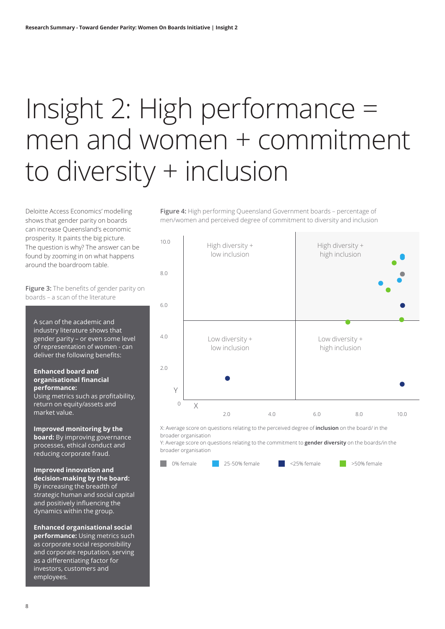### Insight 2: High performance = men and women + commitment to diversity + inclusion

Deloitte Access Economics' modelling shows that gender parity on boards can increase Queensland's economic prosperity. It paints the big picture. The question is why? The answer can be found by zooming in on what happens around the boardroom table.

**Figure 3:** The benefits of gender parity on boards – a scan of the literature

A scan of the academic and industry literature shows that gender parity – or even some level of representation of women - can deliver the following benefits:

**Enhanced board and organisational financial performance:**  Using metrics such as profitability,

return on equity/assets and market value.

**Improved monitoring by the board:** By improving governance processes, ethical conduct and reducing corporate fraud.

**Improved innovation and decision-making by the board:**  By increasing the breadth of strategic human and social capital and positively influencing the dynamics within the group.

**Enhanced organisational social performance:** Using metrics such as corporate social responsibility and corporate reputation, serving as a differentiating factor for investors, customers and employees.

**Figure 4:** High performing Queensland Government boards – percentage of men/women and perceived degree of commitment to diversity and inclusion



X: Average score on questions relating to the perceived degree of **inclusion** on the board/ in the broader organisation

Y: Average score on questions relating to the commitment to **gender diversity** on the boards/in the broader organisation

**1** 0% female 25-50% female  $\overline{25.50}$   $\overline{25.50}$   $\overline{25.50}$  female  $\overline{25.50}$   $\overline{25.50}$  female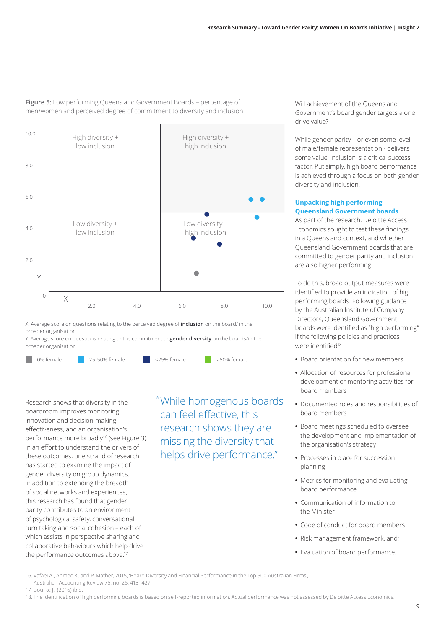**Figure 5:** Low performing Queensland Government Boards – percentage of men/women and perceived degree of commitment to diversity and inclusion



X: Average score on questions relating to the perceived degree of **inclusion** on the board/ in the broader organisation

Y: Average score on questions relating to the commitment to **gender diversity** on the boards/in the broader organisation

Research shows that diversity in the boardroom improves monitoring, innovation and decision-making effectiveness, and an organisation's performance more broadly<sup>16</sup> (see Figure 3). In an effort to understand the drivers of these outcomes, one strand of research has started to examine the impact of gender diversity on group dynamics. In addition to extending the breadth of social networks and experiences, this research has found that gender parity contributes to an environment of psychological safety, conversational turn taking and social cohesion – each of which assists in perspective sharing and collaborative behaviours which help drive the performance outcomes above.<sup>17</sup>

While homogenous boards "can feel effective, this research shows they are missing the diversity that helps drive performance."

Will achievement of the Queensland Government's board gender targets alone drive value?

While gender parity – or even some level of male/female representation - delivers some value, inclusion is a critical success factor. Put simply, high board performance is achieved through a focus on both gender diversity and inclusion.

#### **Unpacking high performing Queensland Government boards**

As part of the research, Deloitte Access Economics sought to test these findings in a Queensland context, and whether Queensland Government boards that are committed to gender parity and inclusion are also higher performing.

To do this, broad output measures were identified to provide an indication of high performing boards. Following guidance by the Australian Institute of Company Directors, Queensland Government boards were identified as "high performing" if the following policies and practices were identified<sup>18</sup>:

- **•** Board orientation for new members
- **•** Allocation of resources for professional development or mentoring activities for board members
- **•** Documented roles and responsibilities of board members
- **•** Board meetings scheduled to oversee the development and implementation of the organisation's strategy
- **•** Processes in place for succession planning
- **•** Metrics for monitoring and evaluating board performance
- **•** Communication of information to the Minister
- **•** Code of conduct for board members
- **•** Risk management framework, and;
- **•** Evaluation of board performance.

16. Vafaei A., Ahmed K. and P. Mather, 2015, 'Board Diversity and Financial Performance in the Top 500 Australian Firms', Australian Accounting Review 75, no. 25: 413–427

18. The identification of high performing boards is based on self-reported information. Actual performance was not assessed by Deloitte Access Economics.

<sup>17.</sup> Bourke J., (2016) ibid.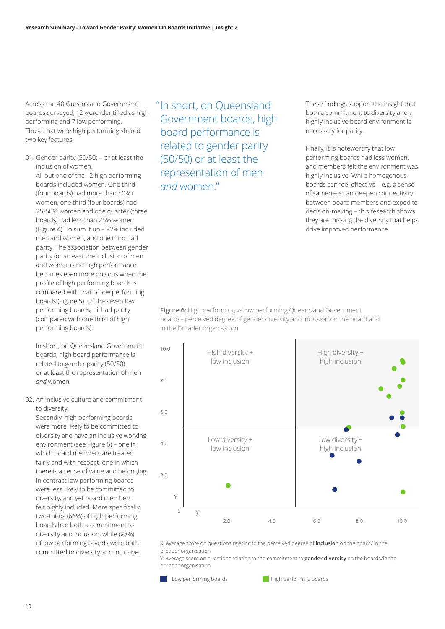Across the 48 Queensland Government boards surveyed, 12 were identified as high performing and 7 low performing. Those that were high performing shared two key features:

01. Gender parity (50/50) – or at least the inclusion of women.

All but one of the 12 high performing boards included women. One third (four boards) had more than 50%+ women, one third (four boards) had 25-50% women and one quarter (three boards) had less than 25% women (Figure 4). To sum it up – 92% included men and women, and one third had parity. The association between gender parity (or at least the inclusion of men and women) and high performance becomes even more obvious when the profile of high performing boards is compared with that of low performing boards (Figure 5). Of the seven low performing boards, nil had parity (compared with one third of high performing boards).

In short, on Queensland Government boards, high board performance is related to gender parity (50/50) or at least the representation of men *and* women.

02. An inclusive culture and commitment to diversity.

Secondly, high performing boards were more likely to be committed to diversity and have an inclusive working environment (see Figure 6) – one in which board members are treated fairly and with respect, one in which there is a sense of value and belonging. In contrast low performing boards were less likely to be committed to diversity, and yet board members felt highly included. More specifically, two-thirds (66%) of high performing boards had both a commitment to diversity and inclusion, while (28%) of low performing boards were both committed to diversity and inclusive.

"In short, on Queensland Government boards, high board performance is related to gender parity (50/50) or at least the representation of men *and* women."

These findings support the insight that both a commitment to diversity and a highly inclusive board environment is necessary for parity.

Finally, it is noteworthy that low performing boards had less women, and members felt the environment was highly inclusive. While homogenous boards can feel effective – e.g. a sense of sameness can deepen connectivity between board members and expedite decision-making – this research shows they are missing the diversity that helps drive improved performance.

**Figure 6:** High performing vs low performing Queensland Government boards– perceived degree of gender diversity and inclusion on the board and in the broader organisation



X: Average score on questions relating to the perceived degree of **inclusion** on the board/ in the broader organisation

Y: Average score on questions relating to the commitment to **gender diversity** on the boards/in the broader organisation

Low performing boards  $\blacksquare$  High performing boards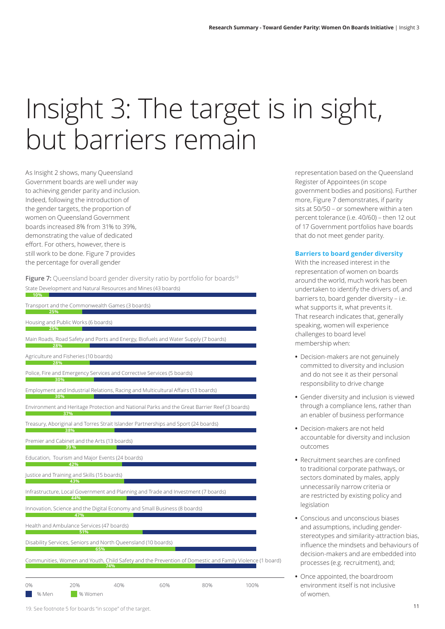### Insight 3: The target is in sight, but barriers remain

As Insight 2 shows, many Queensland Government boards are well under way to achieving gender parity and inclusion. Indeed, following the introduction of the gender targets, the proportion of women on Queensland Government boards increased 8% from 31% to 39%, demonstrating the value of dedicated effort. For others, however, there is still work to be done. Figure 7 provides the percentage for overall gender

**Figure 7:** Queensland board gender diversity ratio by portfolio for boards<sup>19</sup> State Development and Natural Resources and Mines (43 boards)

Transport and the Commonwealth Games (3 boards)

Housing and Public Works (6 boards)

**25%**

**25%**

**28%**

**28%**

**30%**

**30%**

**37%**

**38%**

**39 %**

**10%**

Main Roads, Road Safety and Ports and Energy, Biofuels and Water Supply (7 boards)

Agriculture and Fisheries (10 boards)

Police, Fire and Emergency Services and Corrective Services (5 boards)

Employment and Industrial Relations, Racing and Multicultural Affairs (13 boards)

Environment and Heritage Protection and National Parks and the Great Barrier Reef (3 boards)

Treasury, Aboriginal and Torres Strait Islander Partnerships and Sport (24 boards)

Premier and Cabinet and the Arts (13 boards)

Education, Tourism and Major Events (24 boards)

Justice and Training and Skills (15 boards) **42% 43%**

**44%**

Infrastructure, Local Government and Planning and Trade and Investment (7 boards)

Innovation, Science and the Digital Economy and Small Business (8 boards)

**74%**

Health and Ambulance Services (47 boards) **47%**

**51%**

Disability Services, Seniors and North Queensland (10 boards) **65%**

Communities, Women and Youth, Child Safety and the Prevention of Domestic and Family Violence (1 board)

0% 20% 40% 60% 80% 100%

l a l

% Men **W** % Women

representation based on the Queensland Register of Appointees (in scope government bodies and positions). Further more, Figure 7 demonstrates, if parity sits at 50/50 – or somewhere within a ten percent tolerance (i.e. 40/60) – then 12 out of 17 Government portfolios have boards that do not meet gender parity.

#### **Barriers to board gender diversity**

With the increased interest in the representation of women on boards around the world, much work has been undertaken to identify the drivers of, and barriers to, board gender diversity – i.e. what supports it, what prevents it. That research indicates that, generally speaking, women will experience challenges to board level membership when:

- **•** Decision-makers are not genuinely committed to diversity and inclusion and do not see it as their personal responsibility to drive change
- **•** Gender diversity and inclusion is viewed through a compliance lens, rather than an enabler of business performance
- **•** Decision-makers are not held accountable for diversity and inclusion outcomes
- **•** Recruitment searches are confined to traditional corporate pathways, or sectors dominated by males, apply unnecessarily narrow criteria or are restricted by existing policy and legislation
- **•** Conscious and unconscious biases and assumptions, including genderstereotypes and similarity-attraction bias, influence the mindsets and behaviours of decision-makers and are embedded into processes (e.g. recruitment), and;
- **•** Once appointed, the boardroom environment itself is not inclusive of women.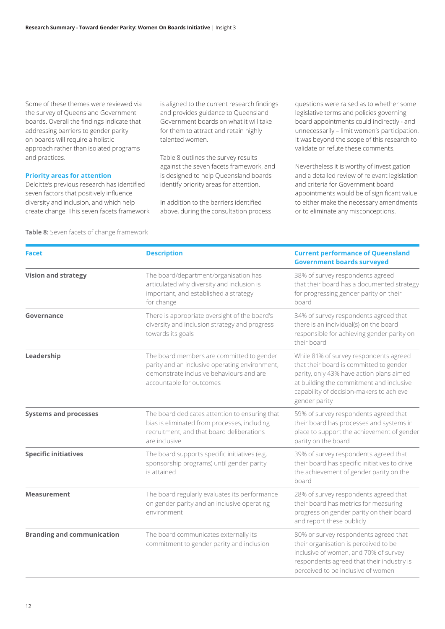Some of these themes were reviewed via the survey of Queensland Government boards. Overall the findings indicate that addressing barriers to gender parity on boards will require a holistic approach rather than isolated programs and practices.

#### **Priority areas for attention**

Deloitte's previous research has identified seven factors that positively influence diversity and inclusion, and which help create change. This seven facets framework is aligned to the current research findings and provides guidance to Queensland Government boards on what it will take for them to attract and retain highly talented women.

Table 8 outlines the survey results against the seven facets framework, and is designed to help Queensland boards identify priority areas for attention.

In addition to the barriers identified above, during the consultation process questions were raised as to whether some legislative terms and policies governing board appointments could indirectly - and unnecessarily – limit women's participation. It was beyond the scope of this research to validate or refute these comments.

Nevertheless it is worthy of investigation and a detailed review of relevant legislation and criteria for Government board appointments would be of significant value to either make the necessary amendments or to eliminate any misconceptions.

**Table 8:** Seven facets of change framework

| <b>Facet</b>                      | <b>Description</b>                                                                                                                                                  | <b>Current performance of Queensland</b><br><b>Government boards surveyed</b>                                                                                                                                                          |  |  |  |
|-----------------------------------|---------------------------------------------------------------------------------------------------------------------------------------------------------------------|----------------------------------------------------------------------------------------------------------------------------------------------------------------------------------------------------------------------------------------|--|--|--|
| <b>Vision and strategy</b>        | The board/department/organisation has<br>articulated why diversity and inclusion is<br>important, and established a strategy<br>for change                          | 38% of survey respondents agreed<br>that their board has a documented strategy<br>for progressing gender parity on their<br>board                                                                                                      |  |  |  |
| Governance                        | There is appropriate oversight of the board's<br>diversity and inclusion strategy and progress<br>towards its goals                                                 | 34% of survey respondents agreed that<br>there is an individual(s) on the board<br>responsible for achieving gender parity on<br>their board                                                                                           |  |  |  |
| Leadership                        | The board members are committed to gender<br>parity and an inclusive operating environment,<br>demonstrate inclusive behaviours and are<br>accountable for outcomes | While 81% of survey respondents agreed<br>that their board is committed to gender<br>parity, only 43% have action plans aimed<br>at building the commitment and inclusive<br>capability of decision-makers to achieve<br>gender parity |  |  |  |
| <b>Systems and processes</b>      | The board dedicates attention to ensuring that<br>bias is eliminated from processes, including<br>recruitment, and that board deliberations<br>are inclusive        | 59% of survey respondents agreed that<br>their board has processes and systems in<br>place to support the achievement of gender<br>parity on the board                                                                                 |  |  |  |
| <b>Specific initiatives</b>       | The board supports specific initiatives (e.g.<br>sponsorship programs) until gender parity<br>is attained                                                           | 39% of survey respondents agreed that<br>their board has specific initiatives to drive<br>the achievement of gender parity on the<br>board                                                                                             |  |  |  |
| <b>Measurement</b>                | The board regularly evaluates its performance<br>on gender parity and an inclusive operating<br>environment                                                         | 28% of survey respondents agreed that<br>their board has metrics for measuring<br>progress on gender parity on their board<br>and report these publicly                                                                                |  |  |  |
| <b>Branding and communication</b> | The board communicates externally its<br>commitment to gender parity and inclusion                                                                                  | 80% or survey respondents agreed that<br>their organisation is perceived to be<br>inclusive of women, and 70% of survey<br>respondents agreed that their industry is<br>perceived to be inclusive of women                             |  |  |  |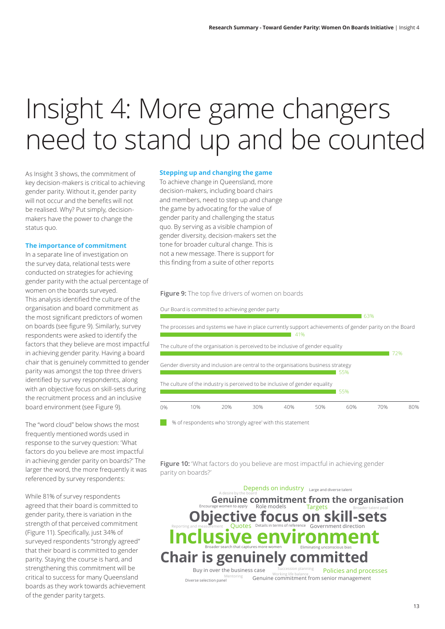### Insight 4: More game changers need to stand up and be counted

As Insight 3 shows, the commitment of key decision-makers is critical to achieving gender parity. Without it, gender parity will not occur and the benefits will not be realised. Why? Put simply, decisionmakers have the power to change the status quo.

#### **The importance of commitment**

In a separate line of investigation on the survey data, relational tests were conducted on strategies for achieving gender parity with the actual percentage of women on the boards surveyed. This analysis identified the culture of the organisation and board commitment as the most significant predictors of women on boards (see figure 9). Similarly, survey respondents were asked to identify the factors that they believe are most impactful in achieving gender parity. Having a board chair that is genuinely committed to gender parity was amongst the top three drivers identified by survey respondents, along with an objective focus on skill-sets during the recruitment process and an inclusive board environment (see Figure 9).

The "word cloud" below shows the most frequently mentioned words used in response to the survey question: 'What factors do you believe are most impactful in achieving gender parity on boards?' The larger the word, the more frequently it was referenced by survey respondents:

While 81% of survey respondents agreed that their board is committed to gender parity, there is variation in the strength of that perceived commitment (Figure 11). Specifically, just 34% of surveyed respondents "strongly agreed" that their board is committed to gender parity. Staying the course is hard, and strengthening this commitment will be critical to success for many Queensland boards as they work towards achievement of the gender parity targets.

#### **Stepping up and changing the game**

To achieve change in Queensland, more decision-makers, including board chairs and members, need to step up and change the game by advocating for the value of gender parity and challenging the status quo. By serving as a visible champion of gender diversity, decision-makers set the tone for broader cultural change. This is not a new message. There is support for this finding from a suite of other reports

**Figure 9:** The top five drivers of women on boards

| Our Board is committed to achieving gender party                                                               |     |     |     |     |     | 63% |     |
|----------------------------------------------------------------------------------------------------------------|-----|-----|-----|-----|-----|-----|-----|
| The processes and systems we have in place currently support achievements of gender parity on the Board<br>41% |     |     |     |     |     |     |     |
| The culture of the organisation is perceived to be inclusive of gender equality                                |     |     |     |     |     | 72% |     |
| Gender diversity and inclusion are central to the organisations business strategy                              |     |     |     |     | 55% |     |     |
| The culture of the industry is perceived to be inclusive of gender equality<br>55%                             |     |     |     |     |     |     |     |
| 10%<br>0%<br>$\sim$ $\sim$                                                                                     | 20% | 30% | 40% | 50% | 60% | 70% | 80% |

**8 %** of respondents who 'strongly agree' with this statement

**Figure 10:** 'What factors do you believe are most impactful in achieving gender parity on boards?'

**Inclusive** Depends on industry Large and diverse talent Buy in over the business case Succession planning Policies and processes Role models Morking life balance<br>Mentoring Genuine commitment from senior management Broader search that captures more women Succession planning Reporting and measurement A desire by the board Broader talent pool Encourage women to apply Diverse selection panel Eliminating unconscious bias Details in terms of reference Government direction Targets Quotes **Objective focus on skill-sets Genuine commitment from the organisation Chair is genuinely committed**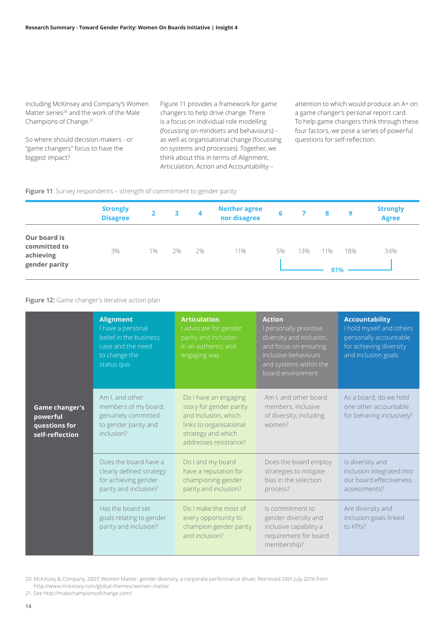including McKinsey and Company's Women Matter series<sup>20</sup> and the work of the Male Champions of Change.<sup>21</sup>

So where should decision-makers - or "game changers" focus to have the biggest impact?

Figure 11 provides a framework for game changers to help drive change. There is a focus on individual role modelling (focussing on mindsets and behaviours) – as well as organisational change (focussing on systems and processes). Together, we think about this in terms of Alignment, Articulation, Action and Accountability –

attention to which would produce an A+ on a game changer's personal report card. To help game changers think through these four factors, we pose a series of powerful questions for self-reflection.

#### **Figure 11**: Survey respondents – strength of commitment to gender parity

|                                                            | <b>Strongly</b><br><b>Disagree</b> | $\overline{\mathbf{2}}$ | 3  | 4  | <b>Neither agree</b><br>nor disagree | 6  |     | 8             | 9   | <b>Strongly</b><br><b>Agree</b> |
|------------------------------------------------------------|------------------------------------|-------------------------|----|----|--------------------------------------|----|-----|---------------|-----|---------------------------------|
| Our board is<br>committed to<br>achieving<br>gender parity | 3%                                 | 1%                      | 2% | 2% | 11%                                  | 5% | 13% | $11\%$<br>81% | 18% | 34%                             |

#### Figure 12: Game changer's iterative action plan

| <b>Game changer's</b><br>powerful<br>questions for<br>self-reflection | <b>Alignment</b><br>I have a personal<br>belief in the business<br>case and the need<br>to change the<br>status quo | <b>Articulation</b><br>I advocate for gender<br>parity and inclusion<br>in an authentic and<br>engaging way                                        | <b>Action</b><br>I personally prioritise<br>diversity and inclusion,<br>and focus on ensuring<br>inclusive behaviours<br>and systems within the<br>board environment | <b>Accountability</b><br>I hold myself and others<br>personally accountable<br>for achieving diversity<br>and inclusion goals |
|-----------------------------------------------------------------------|---------------------------------------------------------------------------------------------------------------------|----------------------------------------------------------------------------------------------------------------------------------------------------|----------------------------------------------------------------------------------------------------------------------------------------------------------------------|-------------------------------------------------------------------------------------------------------------------------------|
|                                                                       | Am I, and other<br>members of my board,<br>genuinely committed<br>to gender parity and<br>inclusion?                | Do I have an engaging<br>story for gender parity<br>and inclusion, which<br>links to organisational<br>strategy and which<br>addresses resistance? | Am I, and other board<br>members, inclusive<br>of diversity, including<br>women?                                                                                     | As a board, do we hold<br>one other accountable<br>for behaving inclusively?                                                  |
|                                                                       | Does the board have a<br>clearly defined strategy<br>for achieving gender<br>parity and inclusion?                  | Do I and my board<br>have a reputation for<br>championing gender<br>parity and inclusion?                                                          | Does the board employ<br>strategies to mitigate<br>bias in the selection<br>process?                                                                                 | Is diversity and<br>inclusion integrated into<br>our board effectiveness<br>assessments?                                      |
|                                                                       | Has the board set<br>goals relating to gender<br>parity and inclusion?                                              | Do I make the most of<br>every opportunity to<br>champion gender parity<br>and inclusion?                                                          | Is commitment to<br>gender diversity and<br>inclusive capability a<br>requirement for board<br>membership?                                                           | Are diversity and<br>inclusion goals linked<br>to KPIs?                                                                       |

<sup>20.</sup> McKinsey & Company, 2007, Women Matter: gender diversity, a corporate performance driver, Retrieved 20th July 2016 from http://www.mckinsey.com/global-themes/women-matter

21. See http://malechampionsofchange.com/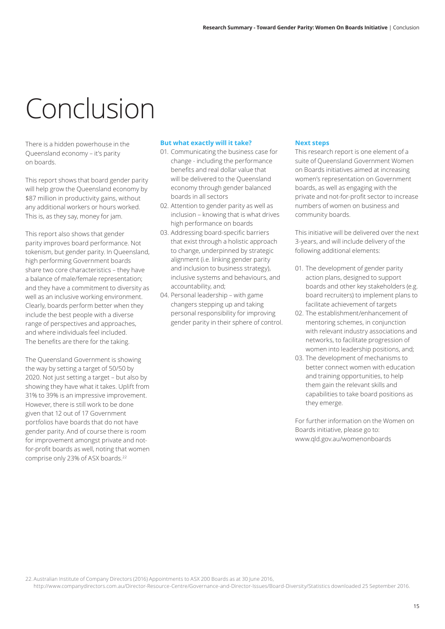## Conclusion

There is a hidden powerhouse in the Queensland economy – it's parity on boards.

This report shows that board gender parity will help grow the Queensland economy by \$87 million in productivity gains, without any additional workers or hours worked. This is, as they say, money for jam.

This report also shows that gender parity improves board performance. Not tokenism, but gender parity. In Queensland, high performing Government boards share two core characteristics – they have a balance of male/female representation; and they have a commitment to diversity as well as an inclusive working environment. Clearly, boards perform better when they include the best people with a diverse range of perspectives and approaches, and where individuals feel included. The benefits are there for the taking.

The Queensland Government is showing the way by setting a target of 50/50 by 2020. Not just setting a target – but also by showing they have what it takes. Uplift from 31% to 39% is an impressive improvement. However, there is still work to be done given that 12 out of 17 Government portfolios have boards that do not have gender parity. And of course there is room for improvement amongst private and notfor-profit boards as well, noting that women comprise only 23% of ASX boards.<sup>22</sup>

#### **But what exactly will it take?**

- 01. Communicating the business case for change - including the performance benefits and real dollar value that will be delivered to the Queensland economy through gender balanced boards in all sectors
- 02. Attention to gender parity as well as inclusion – knowing that is what drives high performance on boards
- 03. Addressing board-specific barriers that exist through a holistic approach to change, underpinned by strategic alignment (i.e. linking gender parity and inclusion to business strategy), inclusive systems and behaviours, and accountability, and;
- 04. Personal leadership with game changers stepping up and taking personal responsibility for improving gender parity in their sphere of control.

#### **Next steps**

This research report is one element of a suite of Queensland Government Women on Boards initiatives aimed at increasing women's representation on Government boards, as well as engaging with the private and not-for-profit sector to increase numbers of women on business and community boards.

This initiative will be delivered over the next 3-years, and will include delivery of the following additional elements:

- 01. The development of gender parity action plans, designed to support boards and other key stakeholders (e.g. board recruiters) to implement plans to facilitate achievement of targets
- 02. The establishment/enhancement of mentoring schemes, in conjunction with relevant industry associations and networks, to facilitate progression of women into leadership positions, and;
- 03. The development of mechanisms to better connect women with education and training opportunities, to help them gain the relevant skills and capabilities to take board positions as they emerge.

For further information on the Women on Boards initiative, please go to: www.qld.gov.au/womenonboards

22. Australian Institute of Company Directors (2016) Appointments to ASX 200 Boards as at 30 June 2016,

http://www.companydirectors.com.au/Director-Resource-Centre/Governance-and-Director-Issues/Board-Diversity/Statistics downloaded 25 September 2016.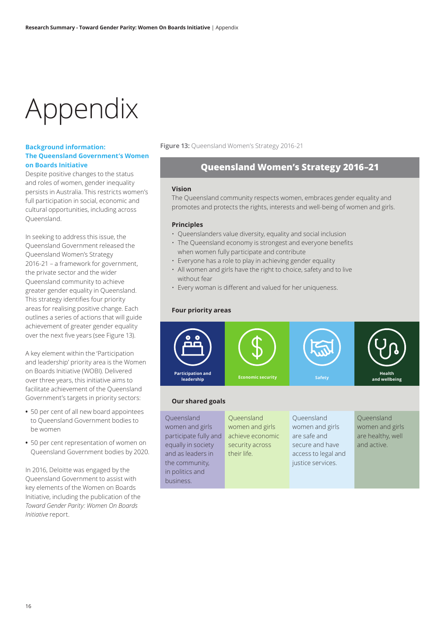

#### **Background information: The Queensland Government's Women on Boards Initiative**

Despite positive changes to the status and roles of women, gender inequality persists in Australia. This restricts women's full participation in social, economic and cultural opportunities, including across Queensland.

In seeking to address this issue, the Queensland Government released the Queensland Women's Strategy 2016-21 – a framework for government, the private sector and the wider Queensland community to achieve greater gender equality in Queensland. This strategy identifies four priority areas for realising positive change. Each outlines a series of actions that will guide achievement of greater gender equality over the next five years (see Figure 13).

A key element within the 'Participation and leadership' priority area is the Women on Boards Initiative (WOBI). Delivered over three years, this initiative aims to facilitate achievement of the Queensland Government's targets in priority sectors:

- **•** 50 per cent of all new board appointees to Queensland Government bodies to be women
- **•** 50 per cent representation of women on Queensland Government bodies by 2020.

In 2016, Deloitte was engaged by the Queensland Government to assist with key elements of the Women on Boards Initiative, including the publication of the *Toward Gender Parity: Women On Boards Initiative* report.

**Figure 13:** Queensland Women's Strategy 2016-21

#### **Queensland Women's Strategy 2016–21**

#### **Vision**

The Queensland community respects women, embraces gender equality and promotes and protects the rights, interests and well-being of women and girls.

#### **Principles**

- Queenslanders value diversity, equality and social inclusion
- The Queensland economy is strongest and everyone benefits when women fully participate and contribute
- Everyone has a role to play in achieving gender equality
- All women and girls have the right to choice, safety and to live without fear
- Every woman is different and valued for her uniqueness.

#### **Four priority areas**



Queensland women and girls participate fully and equally in society and as leaders in the community, in politics and business.

Queensland women and girls achieve economic security across their life.

Queensland women and girls are safe and secure and have access to legal and justice services.

Queensland women and girls are healthy, well and active.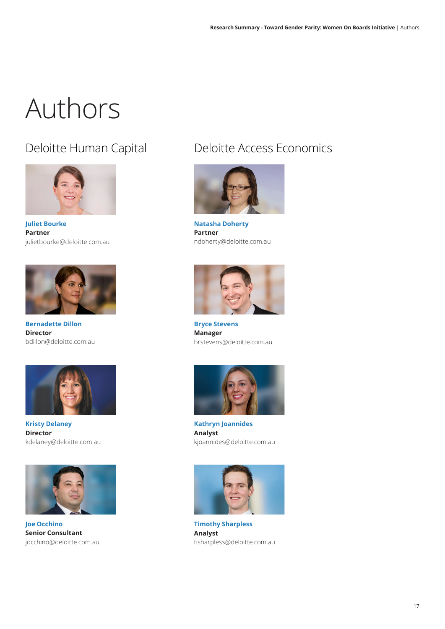### Authors

### Deloitte Human Capital



**Juliet Bourke Partner** julietbourke@deloitte.com.au



**Bernadette Dillon Director** bdillon@deloitte.com.au



**Kristy Delaney Director** kdelaney@deloitte.com.au



**Joe Occhino Senior Consultant** jocchino@deloitte.com.au

### Deloitte Access Economics



**Natasha Doherty Partner** ndoherty@deloitte.com.au



**Bryce Stevens Manager** brstevens@deloitte.com.au



**Kathryn Joannides Analyst** kjoannides@deloitte.com.au



**Timothy Sharpless Analyst** tisharpless@deloitte.com.au